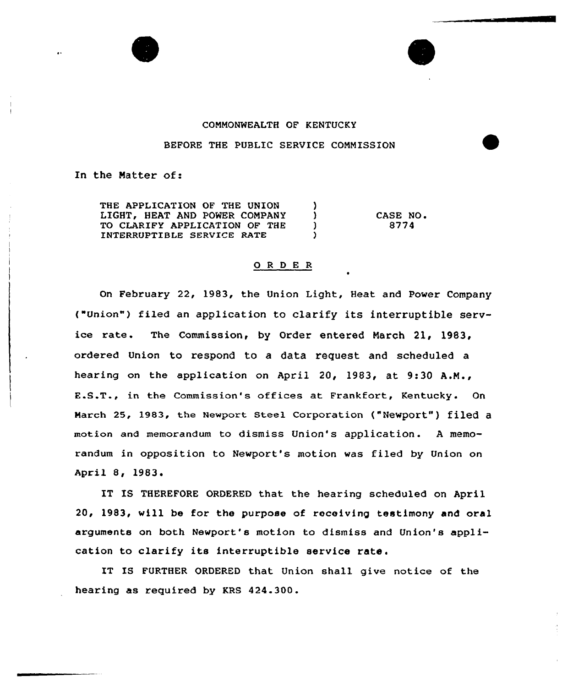

## COMMONWEALTH QF KENTUCKY

## BEFORE THE PUBLIC SERVICE COMMISSION

In the Natter of:

THE APPLICATION OF THE UNION (1)<br>LIGHT, HEAT AND POWER COMPANY (1) LIGHT, HEAT AND POWER COMPANY )<br>TO CLARIEY APPLICATION OF THE TO CLARIFY APPLICATION OF THE )<br>INTERPLIPTIBLE SERVICE PATE INTERRUPTIBLE SERVICE RATE } CASE NO. 8774

## 0 <sup>R</sup> <sup>D</sup> E <sup>R</sup>

On February 22, 1983, the Union Light, Heat and Power Company ("Union"} filed an application to clarify its interruptible service rate. The Commission, by Order entered March 21, 1983, ordered Union to respond to a data request and scheduled a hearing on the application on April 20, 1983, at 9:30 A.M., E.S.T., in the Commission's offices at Frankfort, Kentucky. On March 25, 1983, the Newport Steel Corporation ("Newport") filed a motion and memorandum to dismiss Union's application. A memorandum in opposition to Newport's motion was filed by Union on April 8, 1983

IT IS THEREFORE ORDERED that the hearing scheduled on April 20, 1983, will be for the purpose of receiving testimony and oral arguments on both Newport's motion to dismiss and Union's application to clarify its interruptible service rate.

IT IS FURTHER ORDERED that Union shall give notice of the hearing as required by KRS 424.300.